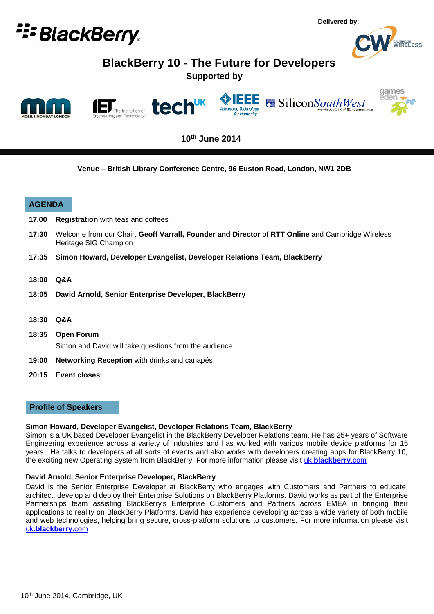

**Delivered by:**CAMBRIDGE<br>WIRELESS

# **BlackBerry 10 - The Future for Developers**

**Supported by**











 **10th June 2014**

# **Venue – British Library Conference Centre, 96 Euston Road, London, NW1 2DB**

| <b>AGENDA</b> |                                                                                                                           |                                                       |
|---------------|---------------------------------------------------------------------------------------------------------------------------|-------------------------------------------------------|
| 17.00         | <b>Registration</b> with teas and coffees                                                                                 |                                                       |
| 17:30         | Welcome from our Chair, Geoff Varrall, Founder and Director of RTT Online and Cambridge Wireless<br>Heritage SIG Champion |                                                       |
| 17:35         | Simon Howard, Developer Evangelist, Developer Relations Team, BlackBerry                                                  |                                                       |
| 18:00         | Q&A                                                                                                                       |                                                       |
| 18:05         |                                                                                                                           | David Arnold, Senior Enterprise Developer, BlackBerry |
| 18:30 Q&A     |                                                                                                                           |                                                       |
| 18:35         |                                                                                                                           | <b>Open Forum</b>                                     |
|               |                                                                                                                           | Simon and David will take questions from the audience |
| 19:00         |                                                                                                                           | <b>Networking Reception with drinks and canapés</b>   |
| 20:15         |                                                                                                                           | <b>Event closes</b>                                   |
|               |                                                                                                                           |                                                       |

#### **Profile of Speakers**

#### **Simon Howard, Developer Evangelist, Developer Relations Team, BlackBerry**

Simon is a UK based Developer Evangelist in the BlackBerry Developer Relations team. He has 25+ years of Software Engineering experience across a variety of industries and has worked with various mobile device platforms for 15 years. He talks to developers at all sorts of events and also works with developers creating apps for BlackBerry 10, the exciting new Operating System from BlackBerry. For more information please visit uk.**[blackberry](http://uk.blackberry.com/)**.com

#### **David Arnold, Senior Enterprise Developer, BlackBerry**

David is the Senior Enterprise Developer at BlackBerry who engages with Customers and Partners to educate, architect, develop and deploy their Enterprise Solutions on BlackBerry Platforms. David works as part of the Enterprise Partnerships team assisting BlackBerry's Enterprise Customers and Partners across EMEA in bringing their applications to reality on BlackBerry Platforms. David has experience developing across a wide variety of both mobile and web technologies, helping bring secure, cross-platform solutions to customers. For more information please visit uk.**blackberry**.com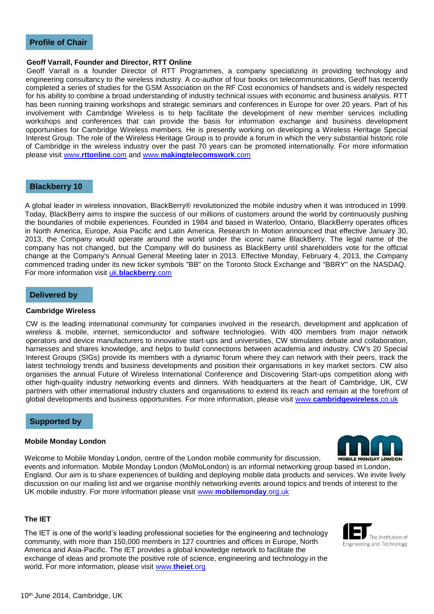### **Profile of Chair**

#### **Geoff Varrall, Founder and Director, RTT Online**

 Geoff Varrall is a founder Director of RTT Programmes, a company specializing in providing technology and engineering consultancy to the wireless industry. A co-author of four books on telecommunications, Geoff has recently completed a series of studies for the GSM Association on the RF Cost economics of handsets and is widely respected for his ability to combine a broad understanding of industry technical issues with economic and business analysis. RTT has been running training workshops and strategic seminars and conferences in Europe for over 20 years. Part of his involvement with Cambridge Wireless is to help facilitate the development of new member services including workshops and conferences that can provide the basis for information exchange and business development opportunities for Cambridge Wireless members. He is presently working on developing a Wireless Heritage Special Interest Group. The role of the Wireless Heritage Group is to provide a forum in which the very substantial historic role of Cambridge in the wireless industry over the past 70 years can be promoted internationally. For more information please visit www.**[rttonline](http://www.rttonline.com/)**.com and www.**[makingtelecomswork](http://www.makingtelecomswork.com/)**.com

#### **Blackberry 10**

A global leader in wireless innovation, BlackBerry® revolutionized the mobile industry when it was introduced in 1999. Today, BlackBerry aims to inspire the success of our millions of customers around the world by continuously pushing the boundaries of mobile experiences. Founded in 1984 and based in Waterloo, Ontario, BlackBerry operates offices in North America, Europe, Asia Pacific and Latin America. Research In Motion announced that effective January 30, 2013, the Company would operate around the world under the iconic name BlackBerry. The legal name of the company has not changed, but the Company will do business as BlackBerry until shareholders vote for the official change at the Company's Annual General Meeting later in 2013. Effective Monday, February 4, 2013, the Company commenced trading under its new ticker symbols "BB" on the Toronto Stock Exchange and "BBRY" on the NASDAQ. For more information visit uk.**blackberry**.com

## **Delivered by**

#### **Cambridge Wireless**

CW is the leading international community for companies involved in the research, development and application of wireless & mobile, internet, semiconductor and software technologies. With 400 members from major network operators and device manufacturers to innovative start-ups and universities, CW stimulates debate and collaboration, harnesses and shares knowledge, and helps to build connections between academia and industry. CW's 20 Special Interest Groups (SIGs) provide its members with a dynamic forum where they can network with their peers, track the latest technology trends and business developments and position their organisations in key market sectors. CW also organises the annual Future of Wireless International Conference and Discovering Start-ups competition along with other high-quality industry networking events and dinners. With headquarters at the heart of Cambridge, UK, CW partners with other international industry clusters and organisations to extend its reach and remain at the forefront of global developments and business opportunities. For more information, please visit www.**[cambridgewireless](http://www.cambridgewireless.co.uk/)**.co.uk

#### **Supported by**

#### **Mobile Monday London**

Welcome to Mobile Monday London, centre of the London mobile community for discussion, **MOBILE MONDAY LONDON** events and information. Mobile Monday London (MoMoLondon) is an informal networking group based in London, England. Our aim is to share experiences of building and deploying mobile data products and services. We invite lively discussion on our mailing list and we organise monthly networking events around topics and trends of interest to the UK mobile industry. For more information please visit www.**[mobilemonday](http://www.mobilemonday.org.uk/)**.org.uk

#### **The IET**

The IET is one of the world's leading professional societies for the engineering and technology community, with more than 150,000 members in 127 countries and offices in Europe, North America and Asia-Pacific. The IET provides a global knowledge network to facilitate the exchange of ideas and promote the positive role of science, engineering and technology in the world. For more information, please visit [www.](http://www.theiet.org/)**theiet**.org

#### 10<sup>th</sup> June 2014, Cambridge, UK